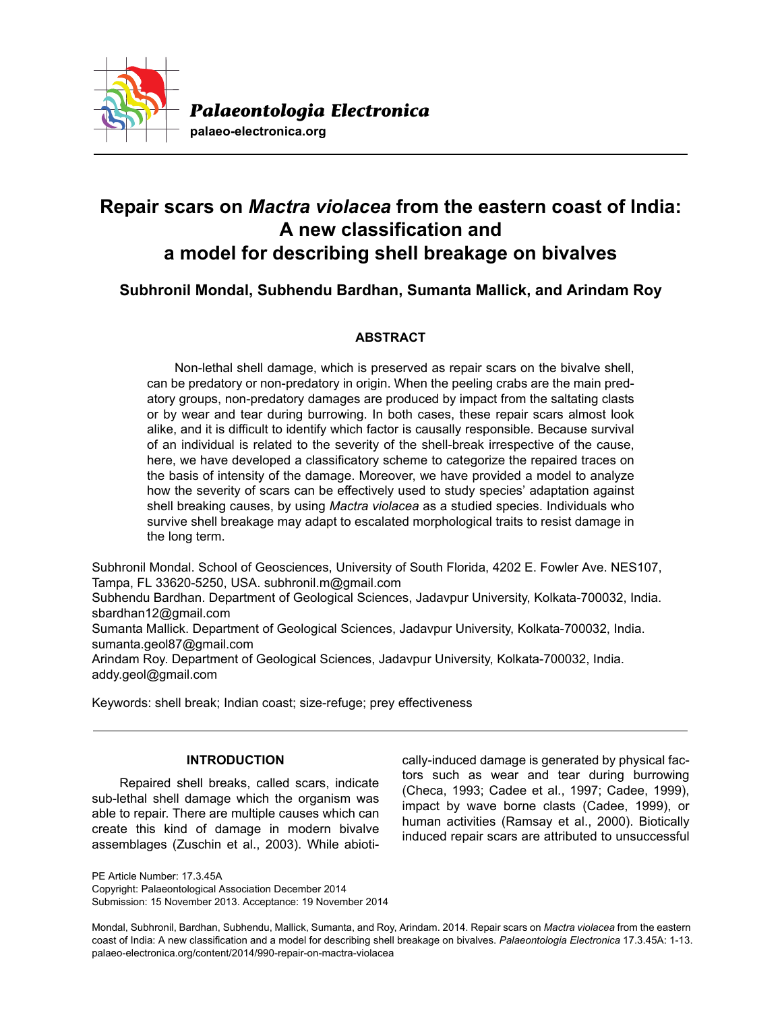

# **Repair scars on** *Mactra violacea* **from the eastern coast of India: A new classification and a model for describing shell breakage on bivalves**

**Subhronil Mondal, Subhendu Bardhan, Sumanta Mallick, and Arindam Roy**

# **ABSTRACT**

Non-lethal shell damage, which is preserved as repair scars on the bivalve shell, can be predatory or non-predatory in origin. When the peeling crabs are the main predatory groups, non-predatory damages are produced by impact from the saltating clasts or by wear and tear during burrowing. In both cases, these repair scars almost look alike, and it is difficult to identify which factor is causally responsible. Because survival of an individual is related to the severity of the shell-break irrespective of the cause, here, we have developed a classificatory scheme to categorize the repaired traces on the basis of intensity of the damage. Moreover, we have provided a model to analyze how the severity of scars can be effectively used to study species' adaptation against shell breaking causes, by using *Mactra violacea* as a studied species. Individuals who survive shell breakage may adapt to escalated morphological traits to resist damage in the long term.

Subhronil Mondal. School of Geosciences, University of South Florida, 4202 E. Fowler Ave. NES107, Tampa, FL 33620-5250, USA. subhronil.m@gmail.com

Subhendu Bardhan. Department of Geological Sciences, Jadavpur University, Kolkata-700032, India. sbardhan12@gmail.com

Sumanta Mallick. Department of Geological Sciences, Jadavpur University, Kolkata-700032, India. sumanta.geol87@gmail.com

Arindam Roy. Department of Geological Sciences, Jadavpur University, Kolkata-700032, India. addy.geol@gmail.com

Keywords: shell break; Indian coast; size-refuge; prey effectiveness

## **INTRODUCTION**

Repaired shell breaks, called scars, indicate sub-lethal shell damage which the organism was able to repair. There are multiple causes which can create this kind of damage in modern bivalve assemblages (Zuschin et al., 2003). While abioti-

PE Article Number: 17.3.45A Copyright: Palaeontological Association December 2014 Submission: 15 November 2013. Acceptance: 19 November 2014 cally-induced damage is generated by physical factors such as wear and tear during burrowing (Checa, 1993; Cadee et al., 1997; Cadee, 1999), impact by wave borne clasts (Cadee, 1999), or human activities (Ramsay et al., 2000). Biotically induced repair scars are attributed to unsuccessful

Mondal, Subhronil, Bardhan, Subhendu, Mallick, Sumanta, and Roy, Arindam. 2014. Repair scars on *Mactra violacea* from the eastern coast of India: A new classification and a model for describing shell breakage on bivalves. *Palaeontologia Electronica* 17.3.45A: 1-13. palaeo-electronica.org/content/2014/990-repair-on-mactra-violacea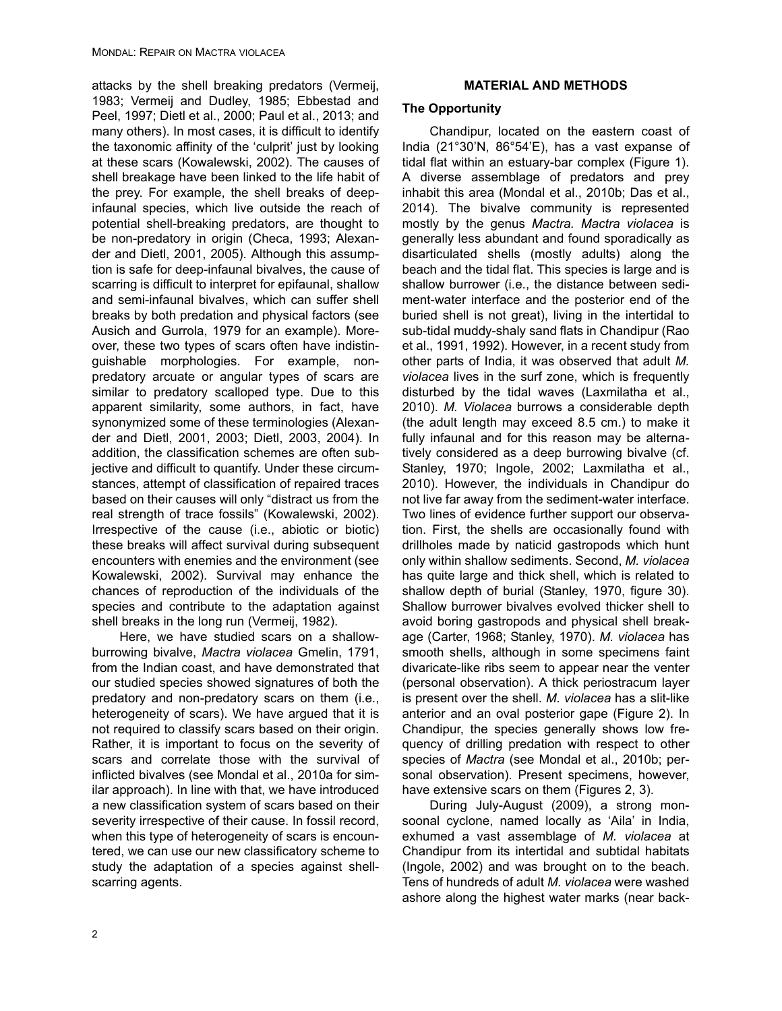attacks by the shell breaking predators (Vermeij, 1983; Vermeij and Dudley, 1985; Ebbestad and Peel, 1997; Dietl et al., 2000; Paul et al., 2013; and many others). In most cases, it is difficult to identify the taxonomic affinity of the 'culprit' just by looking at these scars (Kowalewski, 2002). The causes of shell breakage have been linked to the life habit of the prey. For example, the shell breaks of deepinfaunal species, which live outside the reach of potential shell-breaking predators, are thought to be non-predatory in origin (Checa, 1993; Alexander and Dietl, 2001, 2005). Although this assumption is safe for deep-infaunal bivalves, the cause of scarring is difficult to interpret for epifaunal, shallow and semi-infaunal bivalves, which can suffer shell breaks by both predation and physical factors (see Ausich and Gurrola, 1979 for an example). Moreover, these two types of scars often have indistinguishable morphologies. For example, nonpredatory arcuate or angular types of scars are similar to predatory scalloped type. Due to this apparent similarity, some authors, in fact, have synonymized some of these terminologies (Alexander and Dietl, 2001, 2003; Dietl, 2003, 2004). In addition, the classification schemes are often subjective and difficult to quantify. Under these circumstances, attempt of classification of repaired traces based on their causes will only "distract us from the real strength of trace fossils" (Kowalewski, 2002). Irrespective of the cause (i.e., abiotic or biotic) these breaks will affect survival during subsequent encounters with enemies and the environment (see Kowalewski, 2002). Survival may enhance the chances of reproduction of the individuals of the species and contribute to the adaptation against shell breaks in the long run (Vermeij, 1982).

Here, we have studied scars on a shallowburrowing bivalve, *Mactra violacea* Gmelin, 1791, from the Indian coast, and have demonstrated that our studied species showed signatures of both the predatory and non-predatory scars on them (i.e., heterogeneity of scars). We have argued that it is not required to classify scars based on their origin. Rather, it is important to focus on the severity of scars and correlate those with the survival of inflicted bivalves (see Mondal et al., 2010a for similar approach). In line with that, we have introduced a new classification system of scars based on their severity irrespective of their cause. In fossil record, when this type of heterogeneity of scars is encountered, we can use our new classificatory scheme to study the adaptation of a species against shellscarring agents.

## **MATERIAL AND METHODS**

## **The Opportunity**

Chandipur, located on the eastern coast of India (21°30'N, 86°54'E), has a vast expanse of tidal flat within an estuary-bar complex (Figure 1). A diverse assemblage of predators and prey inhabit this area (Mondal et al., 2010b; Das et al., 2014). The bivalve community is represented mostly by the genus *Mactra. Mactra violacea* is generally less abundant and found sporadically as disarticulated shells (mostly adults) along the beach and the tidal flat. This species is large and is shallow burrower (i.e., the distance between sediment-water interface and the posterior end of the buried shell is not great), living in the intertidal to sub-tidal muddy-shaly sand flats in Chandipur (Rao et al., 1991, 1992). However, in a recent study from other parts of India, it was observed that adult *M. violacea* lives in the surf zone, which is frequently disturbed by the tidal waves (Laxmilatha et al., 2010). *M. Violacea* burrows a considerable depth (the adult length may exceed 8.5 cm.) to make it fully infaunal and for this reason may be alternatively considered as a deep burrowing bivalve (cf. Stanley, 1970; Ingole, 2002; Laxmilatha et al., 2010). However, the individuals in Chandipur do not live far away from the sediment-water interface. Two lines of evidence further support our observation. First, the shells are occasionally found with drillholes made by naticid gastropods which hunt only within shallow sediments. Second, *M. violacea* has quite large and thick shell, which is related to shallow depth of burial (Stanley, 1970, figure 30). Shallow burrower bivalves evolved thicker shell to avoid boring gastropods and physical shell breakage (Carter, 1968; Stanley, 1970). *M. violacea* has smooth shells, although in some specimens faint divaricate-like ribs seem to appear near the venter (personal observation). A thick periostracum layer is present over the shell. *M. violacea* has a slit-like anterior and an oval posterior gape (Figure 2). In Chandipur, the species generally shows low frequency of drilling predation with respect to other species of *Mactra* (see Mondal et al., 2010b; personal observation). Present specimens, however, have extensive scars on them (Figures 2, 3).

During July-August (2009), a strong monsoonal cyclone, named locally as 'Aila' in India, exhumed a vast assemblage of *M. violacea* at Chandipur from its intertidal and subtidal habitats (Ingole, 2002) and was brought on to the beach. Tens of hundreds of adult *M. violacea* were washed ashore along the highest water marks (near back-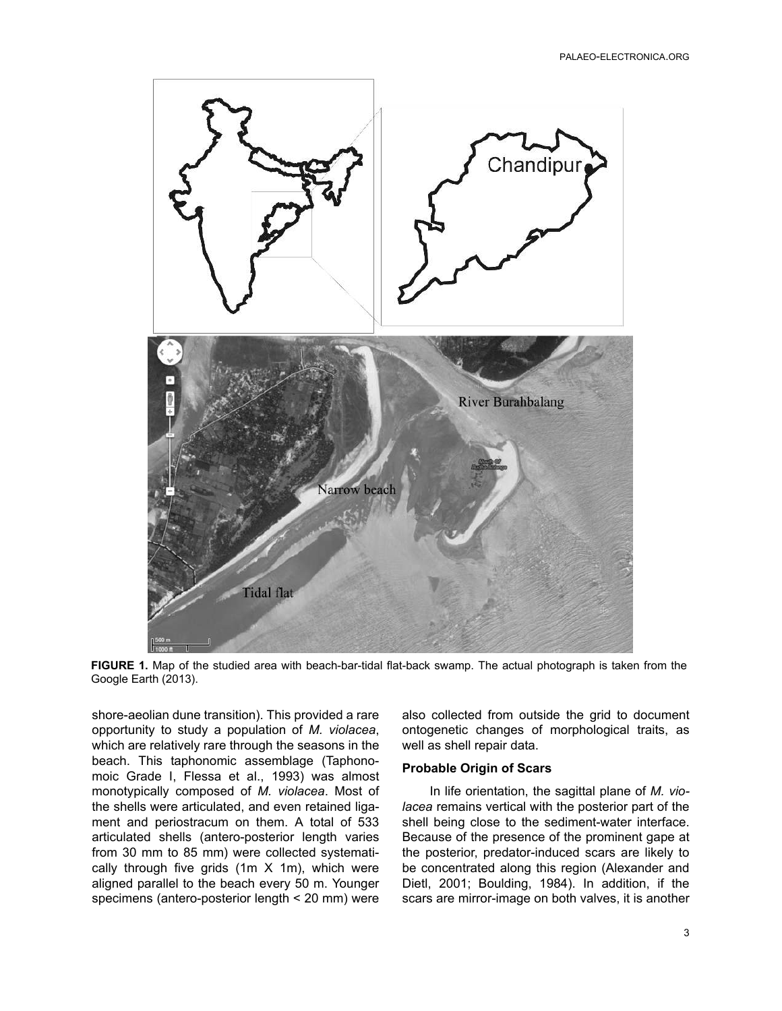

**FIGURE 1.** Map of the studied area with beach-bar-tidal flat-back swamp. The actual photograph is taken from the Google Earth (2013).

shore-aeolian dune transition). This provided a rare opportunity to study a population of *M. violacea*, which are relatively rare through the seasons in the beach. This taphonomic assemblage (Taphonomoic Grade I, Flessa et al., 1993) was almost monotypically composed of *M. violacea*. Most of the shells were articulated, and even retained ligament and periostracum on them. A total of 533 articulated shells (antero-posterior length varies from 30 mm to 85 mm) were collected systematically through five grids (1m X 1m), which were aligned parallel to the beach every 50 m. Younger specimens (antero-posterior length < 20 mm) were also collected from outside the grid to document ontogenetic changes of morphological traits, as well as shell repair data.

#### **Probable Origin of Scars**

In life orientation, the sagittal plane of *M. violacea* remains vertical with the posterior part of the shell being close to the sediment-water interface. Because of the presence of the prominent gape at the posterior, predator-induced scars are likely to be concentrated along this region (Alexander and Dietl, 2001; Boulding, 1984). In addition, if the scars are mirror-image on both valves, it is another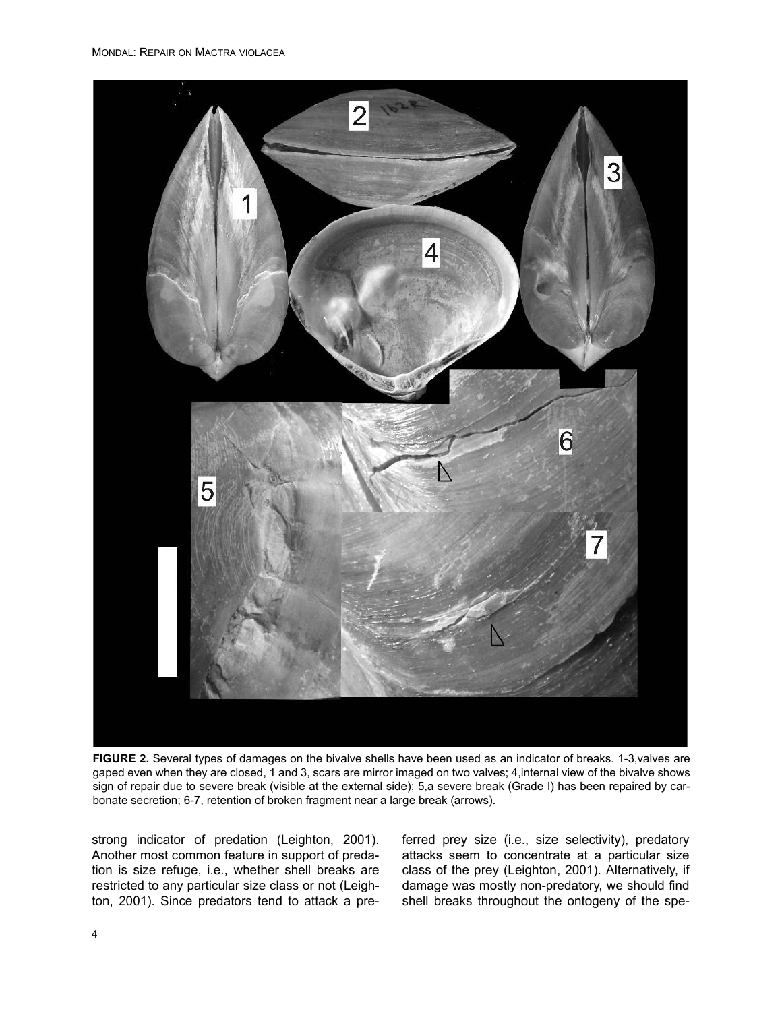

**FIGURE 2.** Several types of damages on the bivalve shells have been used as an indicator of breaks. 1-3, valves are gaped even when they are closed, 1 and 3, scars are mirror imaged on two valves; 4,internal view of the bivalve shows sign of repair due to severe break (visible at the external side); 5,a severe break (Grade I) has been repaired by carbonate secretion; 6-7, retention of broken fragment near a large break (arrows).

strong indicator of predation (Leighton, 2001). Another most common feature in support of predation is size refuge, i.e., whether shell breaks are restricted to any particular size class or not (Leighton, 2001). Since predators tend to attack a pre-

ferred prey size (i.e., size selectivity), predatory attacks seem to concentrate at a particular size class of the prey (Leighton, 2001). Alternatively, if damage was mostly non-predatory, we should find shell breaks throughout the ontogeny of the spe-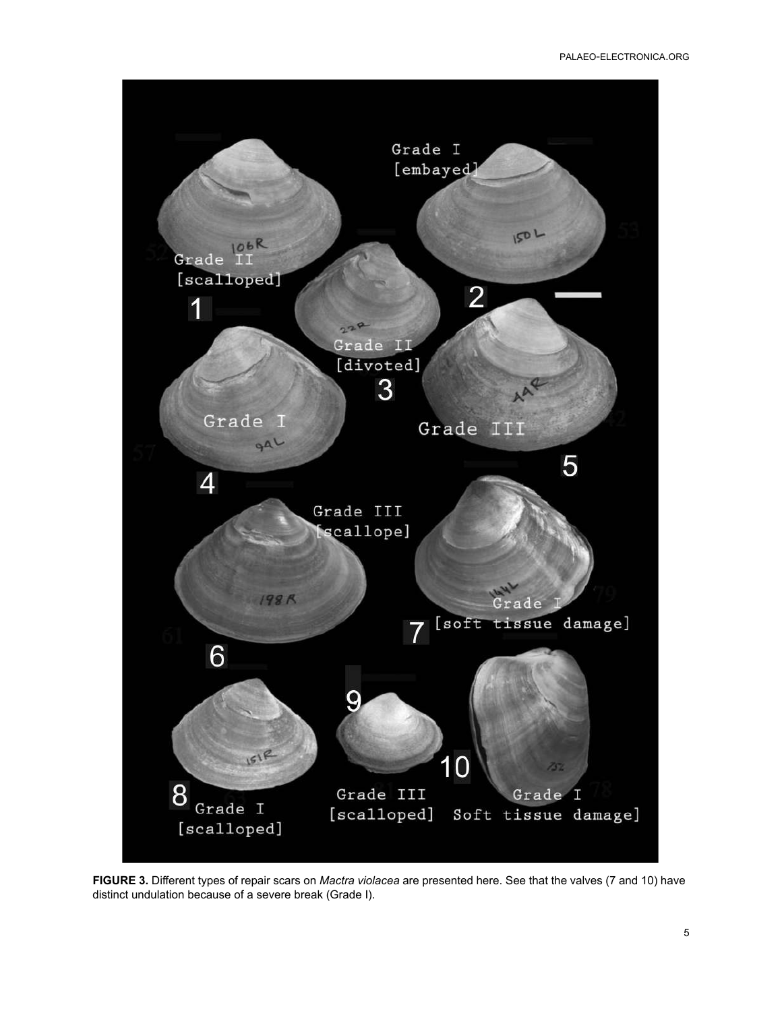

**FIGURE 3.** Different types of repair scars on *Mactra violacea* are presented here. See that the valves (7 and 10) have distinct undulation because of a severe break (Grade I).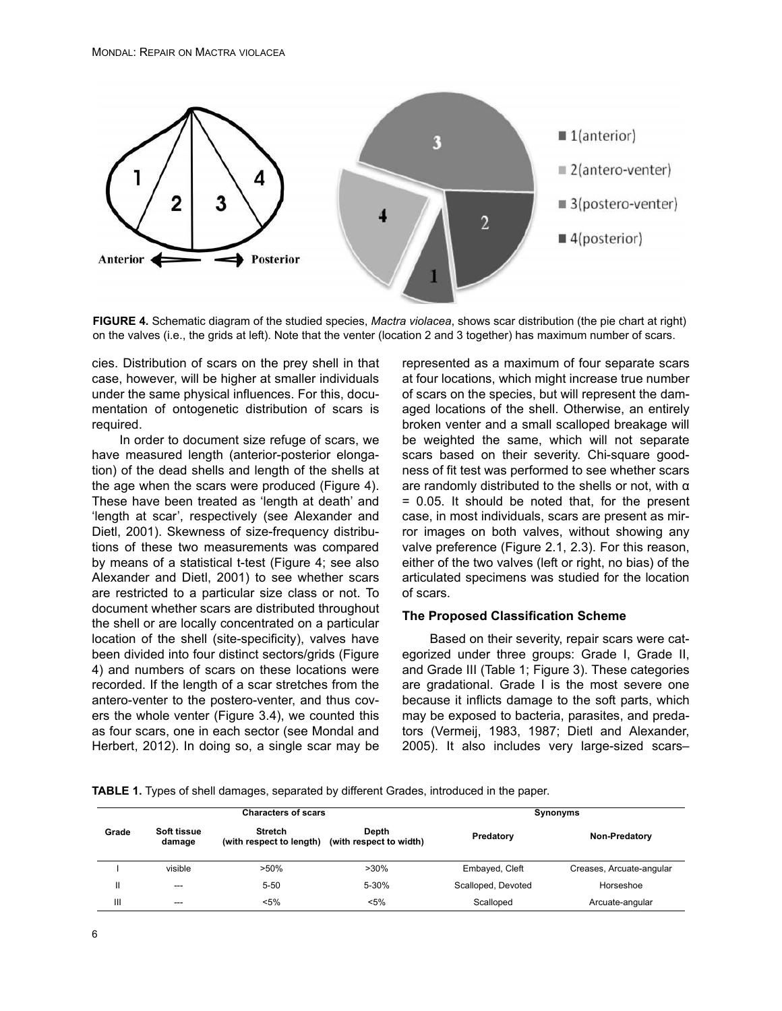

**FIGURE 4.** Schematic diagram of the studied species, *Mactra violacea*, shows scar distribution (the pie chart at right) on the valves (i.e., the grids at left). Note that the venter (location 2 and 3 together) has maximum number of scars.

cies. Distribution of scars on the prey shell in that case, however, will be higher at smaller individuals under the same physical influences. For this, documentation of ontogenetic distribution of scars is required.

In order to document size refuge of scars, we have measured length (anterior-posterior elongation) of the dead shells and length of the shells at the age when the scars were produced (Figure 4). These have been treated as 'length at death' and 'length at scar', respectively (see Alexander and Dietl, 2001). Skewness of size-frequency distributions of these two measurements was compared by means of a statistical t-test (Figure 4; see also Alexander and Dietl, 2001) to see whether scars are restricted to a particular size class or not. To document whether scars are distributed throughout the shell or are locally concentrated on a particular location of the shell (site-specificity), valves have been divided into four distinct sectors/grids (Figure 4) and numbers of scars on these locations were recorded. If the length of a scar stretches from the antero-venter to the postero-venter, and thus covers the whole venter (Figure 3.4), we counted this as four scars, one in each sector (see Mondal and Herbert, 2012). In doing so, a single scar may be

represented as a maximum of four separate scars at four locations, which might increase true number of scars on the species, but will represent the damaged locations of the shell. Otherwise, an entirely broken venter and a small scalloped breakage will be weighted the same, which will not separate scars based on their severity. Chi-square goodness of fit test was performed to see whether scars are randomly distributed to the shells or not, with  $\alpha$ = 0.05. It should be noted that, for the present case, in most individuals, scars are present as mirror images on both valves, without showing any valve preference (Figure 2.1, 2.3). For this reason, either of the two valves (left or right, no bias) of the articulated specimens was studied for the location of scars.

#### **The Proposed Classification Scheme**

Based on their severity, repair scars were categorized under three groups: Grade I, Grade II, and Grade III (Table 1; Figure 3). These categories are gradational. Grade I is the most severe one because it inflicts damage to the soft parts, which may be exposed to bacteria, parasites, and predators (Vermeij, 1983, 1987; Dietl and Alexander, 2005). It also includes very large-sized scars–

**TABLE 1.** Types of shell damages, separated by different Grades, introduced in the paper.

|                |                       | <b>Characters of scars</b>                 |                                  | Synonyms           |                          |  |
|----------------|-----------------------|--------------------------------------------|----------------------------------|--------------------|--------------------------|--|
| Grade          | Soft tissue<br>damage | <b>Stretch</b><br>(with respect to length) | Depth<br>(with respect to width) | Predatory          | Non-Predatory            |  |
|                | visible               | $>50\%$                                    | $>30\%$                          | Embayed, Cleft     | Creases, Arcuate-angular |  |
| Ш              | $---$                 | $5 - 50$                                   | 5-30%                            | Scalloped, Devoted | Horseshoe                |  |
| $\mathbf{III}$ | $---$                 | $< 5\%$                                    | $< 5\%$                          | Scalloped          | Arcuate-angular          |  |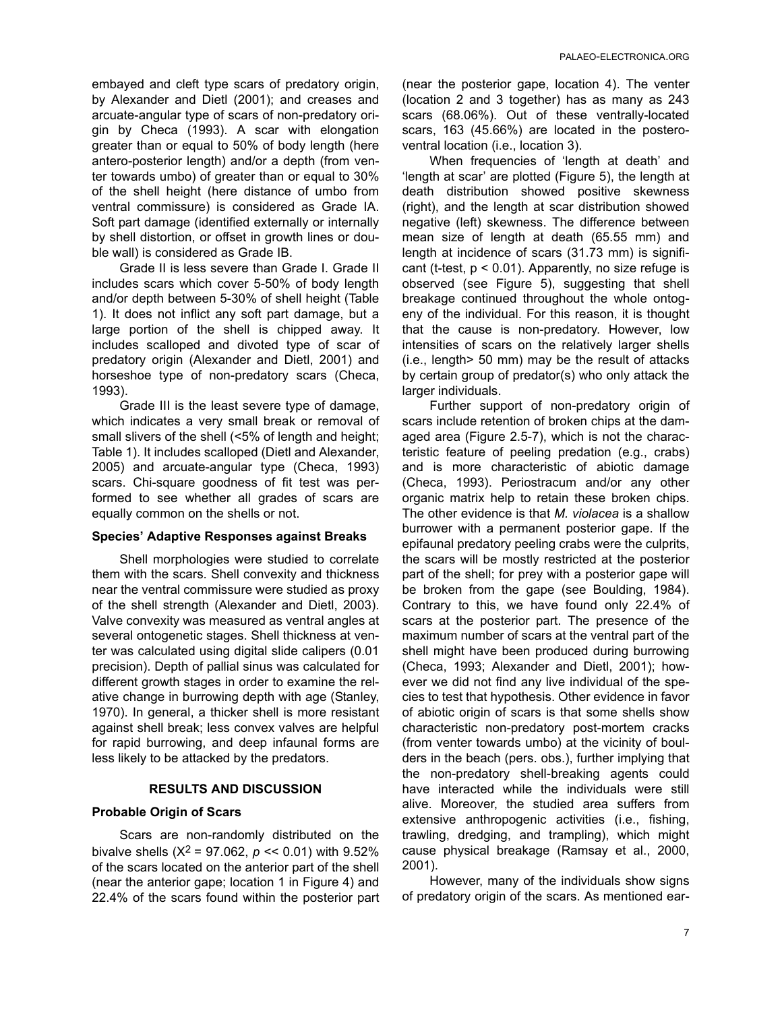embayed and cleft type scars of predatory origin, by Alexander and Dietl (2001); and creases and arcuate-angular type of scars of non-predatory origin by Checa (1993). A scar with elongation greater than or equal to 50% of body length (here antero-posterior length) and/or a depth (from venter towards umbo) of greater than or equal to 30% of the shell height (here distance of umbo from ventral commissure) is considered as Grade IA. Soft part damage (identified externally or internally by shell distortion, or offset in growth lines or double wall) is considered as Grade IB.

Grade II is less severe than Grade I. Grade II includes scars which cover 5-50% of body length and/or depth between 5-30% of shell height (Table 1). It does not inflict any soft part damage, but a large portion of the shell is chipped away. It includes scalloped and divoted type of scar of predatory origin (Alexander and Dietl, 2001) and horseshoe type of non-predatory scars (Checa, 1993).

Grade III is the least severe type of damage, which indicates a very small break or removal of small slivers of the shell (<5% of length and height; Table 1). It includes scalloped (Dietl and Alexander, 2005) and arcuate-angular type (Checa, 1993) scars. Chi-square goodness of fit test was performed to see whether all grades of scars are equally common on the shells or not.

### **Species' Adaptive Responses against Breaks**

Shell morphologies were studied to correlate them with the scars. Shell convexity and thickness near the ventral commissure were studied as proxy of the shell strength (Alexander and Dietl, 2003). Valve convexity was measured as ventral angles at several ontogenetic stages. Shell thickness at venter was calculated using digital slide calipers (0.01 precision). Depth of pallial sinus was calculated for different growth stages in order to examine the relative change in burrowing depth with age (Stanley, 1970). In general, a thicker shell is more resistant against shell break; less convex valves are helpful for rapid burrowing, and deep infaunal forms are less likely to be attacked by the predators.

### **RESULTS AND DISCUSSION**

### **Probable Origin of Scars**

Scars are non-randomly distributed on the bivalve shells  $(X^2 = 97.062, p \ll 0.01)$  with 9.52% of the scars located on the anterior part of the shell (near the anterior gape; location 1 in Figure 4) and 22.4% of the scars found within the posterior part (near the posterior gape, location 4). The venter (location 2 and 3 together) has as many as 243 scars (68.06%). Out of these ventrally-located scars, 163 (45.66%) are located in the posteroventral location (i.e., location 3).

When frequencies of 'length at death' and 'length at scar' are plotted (Figure 5), the length at death distribution showed positive skewness (right), and the length at scar distribution showed negative (left) skewness. The difference between mean size of length at death (65.55 mm) and length at incidence of scars (31.73 mm) is significant (t-test,  $p < 0.01$ ). Apparently, no size refuge is observed (see Figure 5), suggesting that shell breakage continued throughout the whole ontogeny of the individual. For this reason, it is thought that the cause is non-predatory. However, low intensities of scars on the relatively larger shells (i.e., length> 50 mm) may be the result of attacks by certain group of predator(s) who only attack the larger individuals.

Further support of non-predatory origin of scars include retention of broken chips at the damaged area (Figure 2.5-7), which is not the characteristic feature of peeling predation (e.g., crabs) and is more characteristic of abiotic damage (Checa, 1993). Periostracum and/or any other organic matrix help to retain these broken chips. The other evidence is that *M. violacea* is a shallow burrower with a permanent posterior gape. If the epifaunal predatory peeling crabs were the culprits, the scars will be mostly restricted at the posterior part of the shell; for prey with a posterior gape will be broken from the gape (see Boulding, 1984). Contrary to this, we have found only 22.4% of scars at the posterior part. The presence of the maximum number of scars at the ventral part of the shell might have been produced during burrowing (Checa, 1993; Alexander and Dietl, 2001); however we did not find any live individual of the species to test that hypothesis. Other evidence in favor of abiotic origin of scars is that some shells show characteristic non-predatory post-mortem cracks (from venter towards umbo) at the vicinity of boulders in the beach (pers. obs.), further implying that the non-predatory shell-breaking agents could have interacted while the individuals were still alive. Moreover, the studied area suffers from extensive anthropogenic activities (i.e., fishing, trawling, dredging, and trampling), which might cause physical breakage (Ramsay et al., 2000, 2001).

However, many of the individuals show signs of predatory origin of the scars. As mentioned ear-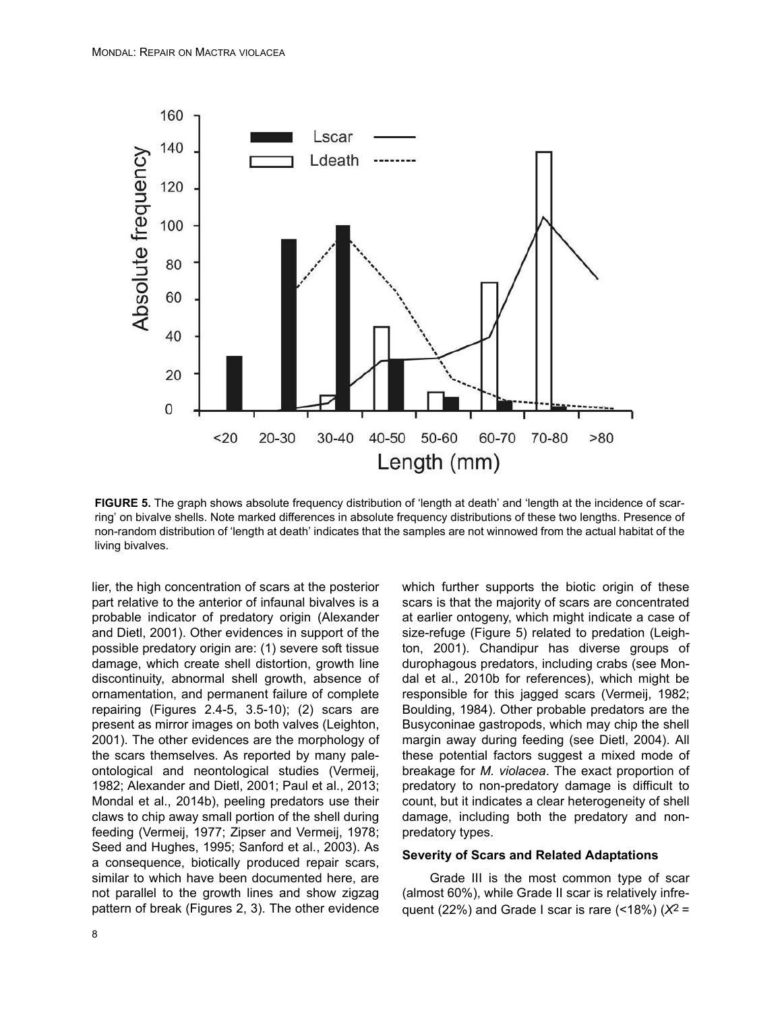

**FIGURE 5.** The graph shows absolute frequency distribution of 'length at death' and 'length at the incidence of scarring' on bivalve shells. Note marked differences in absolute frequency distributions of these two lengths. Presence of non-random distribution of 'length at death' indicates that the samples are not winnowed from the actual habitat of the living bivalves.

lier, the high concentration of scars at the posterior part relative to the anterior of infaunal bivalves is a probable indicator of predatory origin (Alexander and Dietl, 2001). Other evidences in support of the possible predatory origin are: (1) severe soft tissue damage, which create shell distortion, growth line discontinuity, abnormal shell growth, absence of ornamentation, and permanent failure of complete repairing (Figures 2.4-5, 3.5-10); (2) scars are present as mirror images on both valves (Leighton, 2001). The other evidences are the morphology of the scars themselves. As reported by many paleontological and neontological studies (Vermeij, 1982; Alexander and Dietl, 2001; Paul et al., 2013; Mondal et al., 2014b), peeling predators use their claws to chip away small portion of the shell during feeding (Vermeij, 1977; Zipser and Vermeij, 1978; Seed and Hughes, 1995; Sanford et al., 2003). As a consequence, biotically produced repair scars, similar to which have been documented here, are not parallel to the growth lines and show zigzag pattern of break (Figures 2, 3). The other evidence

which further supports the biotic origin of these scars is that the majority of scars are concentrated at earlier ontogeny, which might indicate a case of size-refuge (Figure 5) related to predation (Leighton, 2001). Chandipur has diverse groups of durophagous predators, including crabs (see Mondal et al., 2010b for references), which might be responsible for this jagged scars (Vermeij, 1982; Boulding, 1984). Other probable predators are the Busyconinae gastropods, which may chip the shell margin away during feeding (see Dietl, 2004). All these potential factors suggest a mixed mode of breakage for *M. violacea*. The exact proportion of predatory to non-predatory damage is difficult to count, but it indicates a clear heterogeneity of shell damage, including both the predatory and nonpredatory types.

#### **Severity of Scars and Related Adaptations**

Grade III is the most common type of scar (almost 60%), while Grade II scar is relatively infrequent (22%) and Grade I scar is rare (<18%) (*X*2 =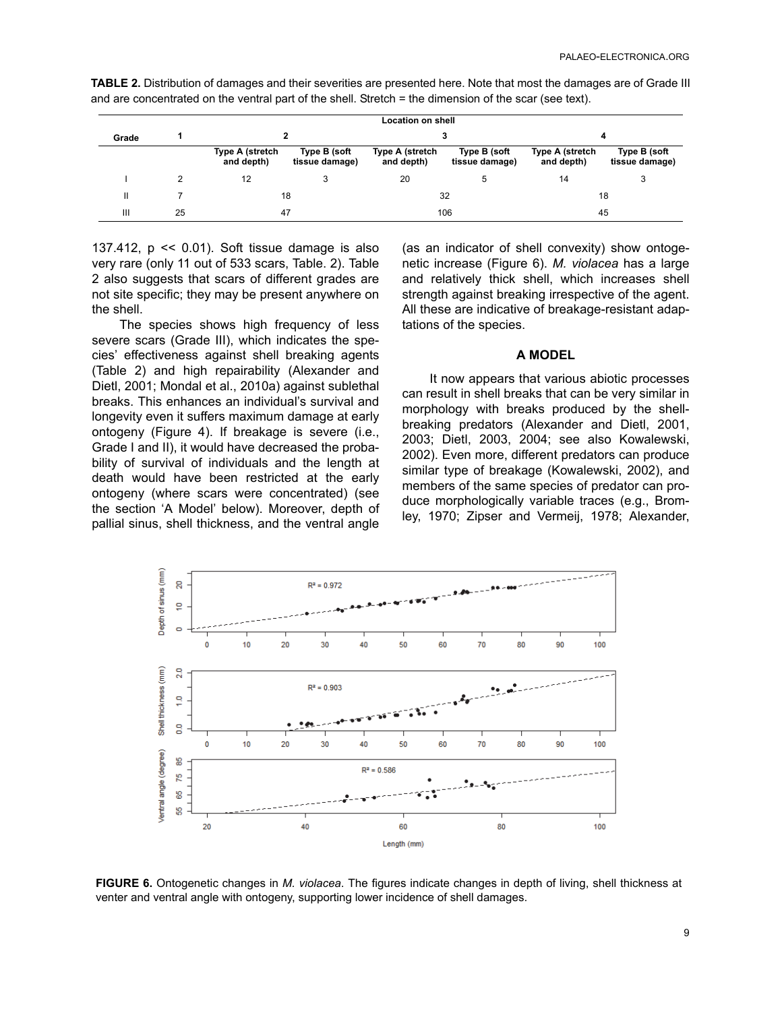|       |    | <b>Location on shell</b>      |                                |                               |                                |                               |                                |  |  |
|-------|----|-------------------------------|--------------------------------|-------------------------------|--------------------------------|-------------------------------|--------------------------------|--|--|
| Grade |    |                               |                                |                               |                                | 4                             |                                |  |  |
|       |    | Type A (stretch<br>and depth) | Type B (soft<br>tissue damage) | Type A (stretch<br>and depth) | Type B (soft<br>tissue damage) | Type A (stretch<br>and depth) | Type B (soft<br>tissue damage) |  |  |
|       | 2  | 12                            |                                | 20                            |                                | 14                            | 3                              |  |  |
| Ш     |    | 18                            |                                | 32                            |                                | 18                            |                                |  |  |
| Ш     | 25 | 47                            |                                | 106                           |                                | 45                            |                                |  |  |

**TABLE 2.** Distribution of damages and their severities are presented here. Note that most the damages are of Grade III and are concentrated on the ventral part of the shell. Stretch = the dimension of the scar (see text).

137.412,  $p \le 0.01$ ). Soft tissue damage is also very rare (only 11 out of 533 scars, Table. 2). Table 2 also suggests that scars of different grades are not site specific; they may be present anywhere on the shell.

The species shows high frequency of less severe scars (Grade III), which indicates the species' effectiveness against shell breaking agents (Table 2) and high repairability (Alexander and Dietl, 2001; Mondal et al., 2010a) against sublethal breaks. This enhances an individual's survival and longevity even it suffers maximum damage at early ontogeny (Figure 4). If breakage is severe (i.e., Grade I and II), it would have decreased the probability of survival of individuals and the length at death would have been restricted at the early ontogeny (where scars were concentrated) (see the section 'A Model' below). Moreover, depth of pallial sinus, shell thickness, and the ventral angle

(as an indicator of shell convexity) show ontogenetic increase (Figure 6). *M. violacea* has a large and relatively thick shell, which increases shell strength against breaking irrespective of the agent. All these are indicative of breakage-resistant adaptations of the species.

#### **A MODEL**

It now appears that various abiotic processes can result in shell breaks that can be very similar in morphology with breaks produced by the shellbreaking predators (Alexander and Dietl, 2001, 2003; Dietl, 2003, 2004; see also Kowalewski, 2002). Even more, different predators can produce similar type of breakage (Kowalewski, 2002), and members of the same species of predator can produce morphologically variable traces (e.g., Bromley, 1970; Zipser and Vermeij, 1978; Alexander,



**FIGURE 6.** Ontogenetic changes in *M. violacea*. The figures indicate changes in depth of living, shell thickness at venter and ventral angle with ontogeny, supporting lower incidence of shell damages.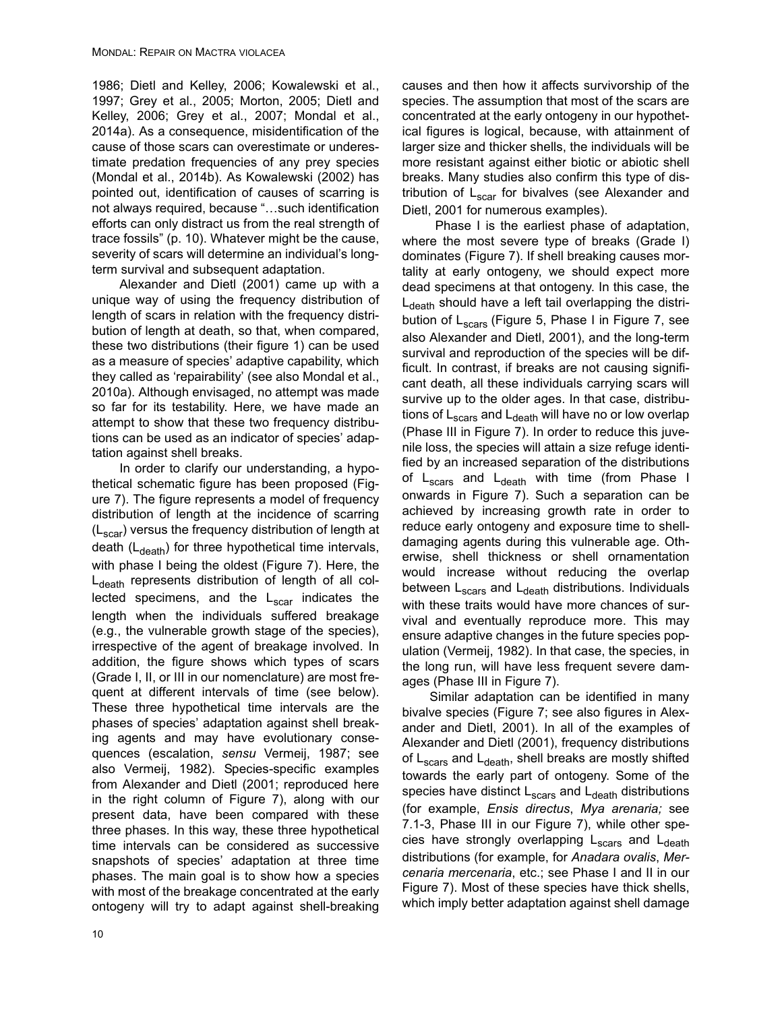1986; Dietl and Kelley, 2006; Kowalewski et al., 1997; Grey et al., 2005; Morton, 2005; Dietl and Kelley, 2006; Grey et al., 2007; Mondal et al., 2014a). As a consequence, misidentification of the cause of those scars can overestimate or underestimate predation frequencies of any prey species (Mondal et al., 2014b). As Kowalewski (2002) has pointed out, identification of causes of scarring is not always required, because "…such identification efforts can only distract us from the real strength of trace fossils" (p. 10). Whatever might be the cause, severity of scars will determine an individual's longterm survival and subsequent adaptation.

Alexander and Dietl (2001) came up with a unique way of using the frequency distribution of length of scars in relation with the frequency distribution of length at death, so that, when compared, these two distributions (their figure 1) can be used as a measure of species' adaptive capability, which they called as 'repairability' (see also Mondal et al., 2010a). Although envisaged, no attempt was made so far for its testability. Here, we have made an attempt to show that these two frequency distributions can be used as an indicator of species' adaptation against shell breaks.

In order to clarify our understanding, a hypothetical schematic figure has been proposed (Figure 7). The figure represents a model of frequency distribution of length at the incidence of scarring  $(L_{\text{scar}})$  versus the frequency distribution of length at death  $(L<sub>death</sub>)$  for three hypothetical time intervals, with phase I being the oldest (Figure 7). Here, the  $L_{death}$  represents distribution of length of all collected specimens, and the  $L_{scar}$  indicates the length when the individuals suffered breakage (e.g., the vulnerable growth stage of the species), irrespective of the agent of breakage involved. In addition, the figure shows which types of scars (Grade I, II, or III in our nomenclature) are most frequent at different intervals of time (see below). These three hypothetical time intervals are the phases of species' adaptation against shell breaking agents and may have evolutionary consequences (escalation, *sensu* Vermeij, 1987; see also Vermeij, 1982). Species-specific examples from Alexander and Dietl (2001; reproduced here in the right column of Figure 7), along with our present data, have been compared with these three phases. In this way, these three hypothetical time intervals can be considered as successive snapshots of species' adaptation at three time phases. The main goal is to show how a species with most of the breakage concentrated at the early ontogeny will try to adapt against shell-breaking

causes and then how it affects survivorship of the species. The assumption that most of the scars are concentrated at the early ontogeny in our hypothetical figures is logical, because, with attainment of larger size and thicker shells, the individuals will be more resistant against either biotic or abiotic shell breaks. Many studies also confirm this type of distribution of  $L_{\text{scar}}$  for bivalves (see Alexander and Dietl, 2001 for numerous examples).

 Phase I is the earliest phase of adaptation, where the most severe type of breaks (Grade I) dominates (Figure 7). If shell breaking causes mortality at early ontogeny, we should expect more dead specimens at that ontogeny. In this case, the  $L_{death}$  should have a left tail overlapping the distribution of  $L_{\text{scars}}$  (Figure 5, Phase I in Figure 7, see also Alexander and Dietl, 2001), and the long-term survival and reproduction of the species will be difficult. In contrast, if breaks are not causing significant death, all these individuals carrying scars will survive up to the older ages. In that case, distributions of  $L<sub>scars</sub>$  and  $L<sub>death</sub>$  will have no or low overlap (Phase III in Figure 7). In order to reduce this juvenile loss, the species will attain a size refuge identified by an increased separation of the distributions of  $L_{\text{scars}}$  and  $L_{\text{death}}$  with time (from Phase I onwards in Figure 7). Such a separation can be achieved by increasing growth rate in order to reduce early ontogeny and exposure time to shelldamaging agents during this vulnerable age. Otherwise, shell thickness or shell ornamentation would increase without reducing the overlap between L<sub>scars</sub> and L<sub>death</sub> distributions. Individuals with these traits would have more chances of survival and eventually reproduce more. This may ensure adaptive changes in the future species population (Vermeij, 1982). In that case, the species, in the long run, will have less frequent severe damages (Phase III in Figure 7).

Similar adaptation can be identified in many bivalve species (Figure 7; see also figures in Alexander and Dietl, 2001). In all of the examples of Alexander and Dietl (2001), frequency distributions of L<sub>scars</sub> and L<sub>death</sub>, shell breaks are mostly shifted towards the early part of ontogeny. Some of the species have distinct  $L_{\text{scars}}$  and  $L_{\text{death}}$  distributions (for example, *Ensis directus*, *Mya arenaria;* see 7.1-3, Phase III in our Figure 7), while other species have strongly overlapping  $L_{\text{scars}}$  and  $L_{\text{death}}$ distributions (for example, for *Anadara ovalis*, *Mercenaria mercenaria*, etc.; see Phase I and II in our Figure 7). Most of these species have thick shells, which imply better adaptation against shell damage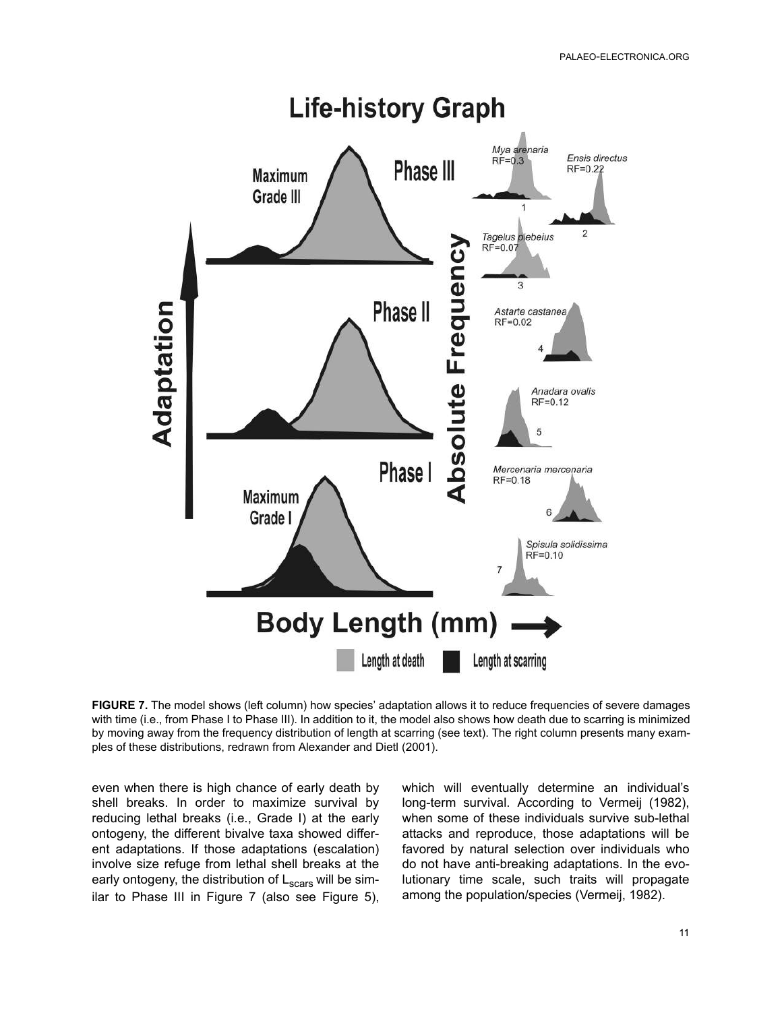

**FIGURE 7.** The model shows (left column) how species' adaptation allows it to reduce frequencies of severe damages with time (i.e., from Phase I to Phase III). In addition to it, the model also shows how death due to scarring is minimized by moving away from the frequency distribution of length at scarring (see text). The right column presents many examples of these distributions, redrawn from Alexander and Dietl (2001).

even when there is high chance of early death by shell breaks. In order to maximize survival by reducing lethal breaks (i.e., Grade I) at the early ontogeny, the different bivalve taxa showed different adaptations. If those adaptations (escalation) involve size refuge from lethal shell breaks at the early ontogeny, the distribution of  $L<sub>scars</sub>$  will be similar to Phase III in Figure 7 (also see Figure 5),

which will eventually determine an individual's long-term survival. According to Vermeij (1982), when some of these individuals survive sub-lethal attacks and reproduce, those adaptations will be favored by natural selection over individuals who do not have anti-breaking adaptations. In the evolutionary time scale, such traits will propagate among the population/species (Vermeij, 1982).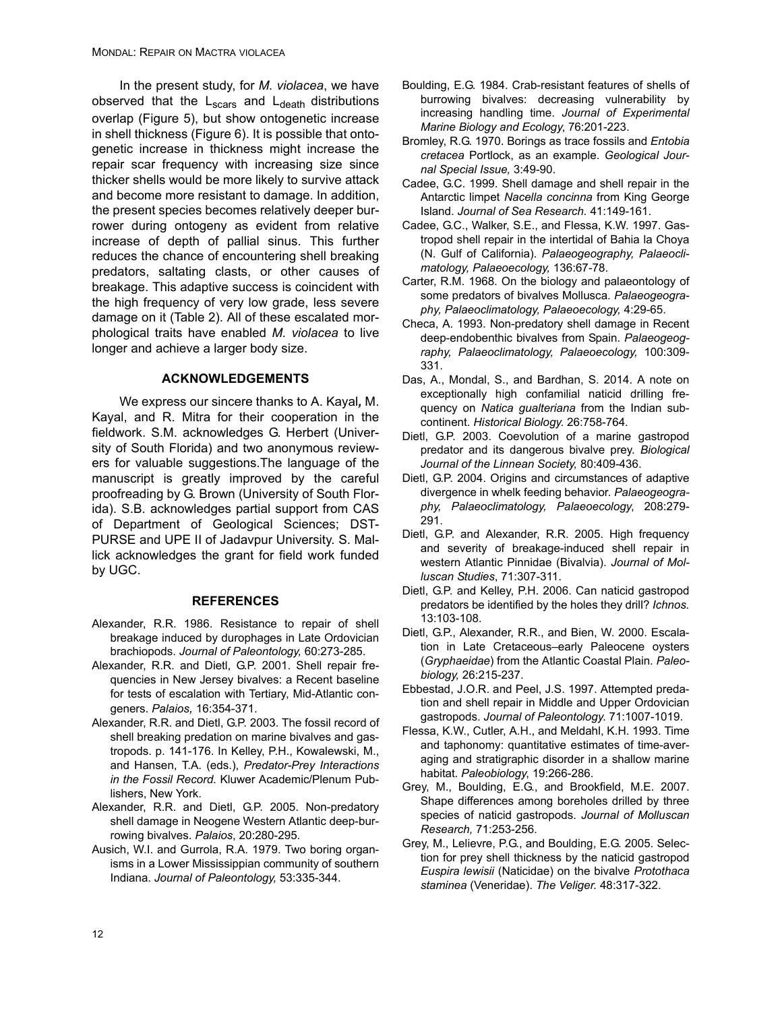In the present study, for *M. violacea*, we have observed that the  $L_{\text{scars}}$  and  $L_{\text{death}}$  distributions overlap (Figure 5), but show ontogenetic increase in shell thickness (Figure 6). It is possible that ontogenetic increase in thickness might increase the repair scar frequency with increasing size since thicker shells would be more likely to survive attack and become more resistant to damage. In addition, the present species becomes relatively deeper burrower during ontogeny as evident from relative increase of depth of pallial sinus. This further reduces the chance of encountering shell breaking predators, saltating clasts, or other causes of breakage. This adaptive success is coincident with the high frequency of very low grade, less severe damage on it (Table 2). All of these escalated morphological traits have enabled *M. violacea* to live longer and achieve a larger body size.

## **ACKNOWLEDGEMENTS**

We express our sincere thanks to A. Kayal*,* M. Kayal, and R. Mitra for their cooperation in the fieldwork. S.M. acknowledges G. Herbert (University of South Florida) and two anonymous reviewers for valuable suggestions.The language of the manuscript is greatly improved by the careful proofreading by G. Brown (University of South Florida). S.B. acknowledges partial support from CAS of Department of Geological Sciences; DST-PURSE and UPE II of Jadavpur University. S. Mallick acknowledges the grant for field work funded by UGC.

#### **REFERENCES**

- Alexander, R.R. 1986. Resistance to repair of shell breakage induced by durophages in Late Ordovician brachiopods. *Journal of Paleontology,* 60:273-285.
- Alexander, R.R. and Dietl, G.P. 2001. Shell repair frequencies in New Jersey bivalves: a Recent baseline for tests of escalation with Tertiary, Mid-Atlantic congeners. *Palaios,* 16:354-371.
- Alexander, R.R. and Dietl, G.P. 2003. The fossil record of shell breaking predation on marine bivalves and gastropods. p. 141-176. In Kelley, P.H., Kowalewski, M., and Hansen, T.A. (eds.), *Predator-Prey Interactions in the Fossil Record*. Kluwer Academic/Plenum Publishers, New York.
- Alexander, R.R. and Dietl, G.P. 2005. Non-predatory shell damage in Neogene Western Atlantic deep-burrowing bivalves. *Palaios*, 20:280-295.
- Ausich, W.I. and Gurrola, R.A. 1979. Two boring organisms in a Lower Mississippian community of southern Indiana. *Journal of Paleontology,* 53:335-344.
- Boulding, E.G. 1984. Crab-resistant features of shells of burrowing bivalves: decreasing vulnerability by increasing handling time. *Journal of Experimental Marine Biology and Ecology*, 76:201-223.
- Bromley, R.G. 1970. Borings as trace fossils and *Entobia cretacea* Portlock, as an example. *Geological Journal Special Issue,* 3:49-90.
- Cadee, G.C. 1999. Shell damage and shell repair in the Antarctic limpet *Nacella concinna* from King George Island. *Journal of Sea Research.* 41:149-161.
- Cadee, G.C., Walker, S.E., and Flessa, K.W. 1997. Gastropod shell repair in the intertidal of Bahia la Choya (N. Gulf of California). *Palaeogeography, Palaeoclimatology, Palaeoecology,* 136:67-78.
- Carter, R.M. 1968. On the biology and palaeontology of some predators of bivalves Mollusca. *Palaeogeography, Palaeoclimatology, Palaeoecology,* 4:29-65.
- Checa, A. 1993. Non-predatory shell damage in Recent deep-endobenthic bivalves from Spain. *Palaeogeography, Palaeoclimatology, Palaeoecology,* 100:309- 331.
- Das, A., Mondal, S., and Bardhan, S. 2014. A note on exceptionally high confamilial naticid drilling frequency on *Natica gualteriana* from the Indian subcontinent. *Historical Biology*. 26:758-764.
- Dietl, G.P. 2003. Coevolution of a marine gastropod predator and its dangerous bivalve prey. *Biological Journal of the Linnean Society,* 80:409-436.
- Dietl, G.P. 2004. Origins and circumstances of adaptive divergence in whelk feeding behavior. *Palaeogeography, Palaeoclimatology, Palaeoecology*, 208:279- 291.
- Dietl, G.P. and Alexander, R.R. 2005. High frequency and severity of breakage-induced shell repair in western Atlantic Pinnidae (Bivalvia). *Journal of Molluscan Studies*, 71:307-311.
- Dietl, G.P. and Kelley, P.H. 2006. Can naticid gastropod predators be identified by the holes they drill? *Ichnos.* 13:103-108.
- Dietl, G.P., Alexander, R.R., and Bien, W. 2000. Escalation in Late Cretaceous–early Paleocene oysters (*Gryphaeidae*) from the Atlantic Coastal Plain. *Paleobiology,* 26:215-237.
- Ebbestad, J.O.R. and Peel, J.S. 1997. Attempted predation and shell repair in Middle and Upper Ordovician gastropods. *Journal of Paleontology*. 71:1007-1019.
- Flessa, K.W., Cutler, A.H., and Meldahl, K.H. 1993. Time and taphonomy: quantitative estimates of time-averaging and stratigraphic disorder in a shallow marine habitat. *Paleobiology*, 19:266-286.
- Grey, M., Boulding, E.G., and Brookfield, M.E. 2007. Shape differences among boreholes drilled by three species of naticid gastropods. *Journal of Molluscan Research,* 71:253-256.
- Grey, M., Lelievre, P.G., and Boulding, E.G. 2005. Selection for prey shell thickness by the naticid gastropod *Euspira lewisii* (Naticidae) on the bivalve *Protothaca staminea* (Veneridae). *The Veliger.* 48:317-322.